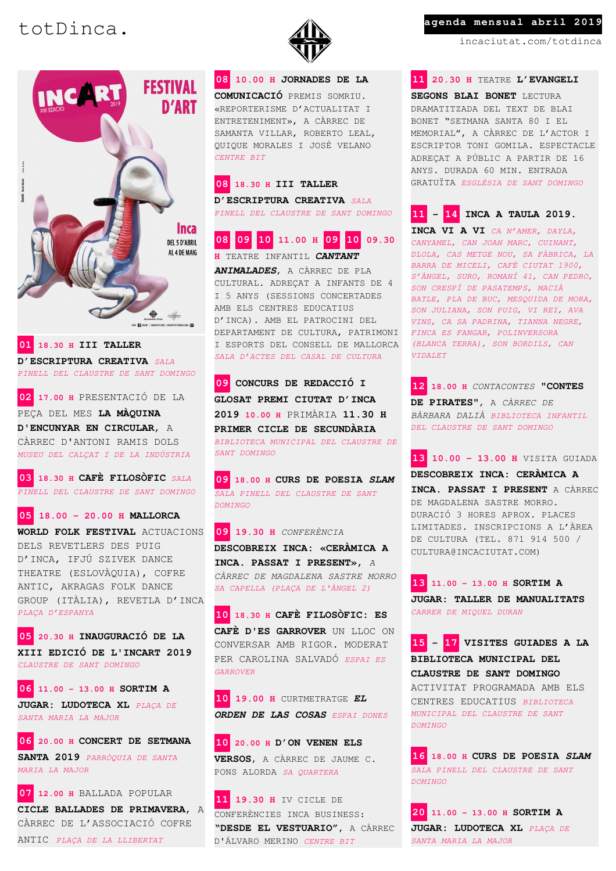

**01 18.30 H III TALLER D'ESCRIPTURA CREATIVA** *SALA PINELL DEL CLAUSTRE DE SANT DOMINGO*

**02 17.00 H** PRESENTACIÓ DE LA PEÇA DEL MES **LA MÀQUINA D'ENCUNYAR EN CIRCULAR**, A CÀRREC D'ANTONI RAMIS DOLS

*MUSEU DEL CALÇAT I DE LA INDÚSTRIA*

**03 18.30 H CAFÈ FILOSÒFIC** *SALA PINELL DEL CLAUSTRE DE SANT DOMINGO*

## **05 18.00 – 20.00 H MALLORCA**

**WORLD FOLK FESTIVAL** ACTUACIONS DELS REVETLERS DES PUIG D'INCA, IFJÚ SZIVEK DANCE THEATRE (ESLOVÀQUIA), COFRE ANTIC, AKRAGAS FOLK DANCE GROUP (ITÀLIA), REVETLA D'INCA *PLAÇA D'ESPANYA*

**05 20.30 H INAUGURACIÓ DE LA XIII EDICIÓ DE L'INCART 2019**  *CLAUSTRE DE SANT DOMINGO*

**06 11.00 – 13.00 H SORTIM A JUGAR: LUDOTECA XL** *PLAÇA DE SANTA MARIA LA MAJOR*

**06 20.00 H CONCERT DE SETMANA SANTA 2019** *PARRÒQUIA DE SANTA MARIA LA MAJOR*

**07 12.00 H** BALLADA POPULAR **CICLE BALLADES DE PRIMAVERA**, A CÀRREC DE L'ASSOCIACIÓ COFRE ANTIC *PLAÇA DE LA LLIBERTAT*



**08 10.00 H JORNADES DE LA COMUNICACIÓ** PREMIS SOMRIU. «REPORTERISME D'ACTUALITAT I ENTRETENIMENT», A CÀRREC DE SAMANTA VILLAR, ROBERTO LEAL, QUIQUE MORALES I JOSÉ VELANO *CENTRE BIT*

**08 18.30 H III TALLER D'ESCRIPTURA CREATIVA** *SALA PINELL DEL CLAUSTRE DE SANT DOMINGO*

|  |  |  | 08 09 10 11.00 H <mark>09 10</mark> 09.30 |  |  |  |  |  |
|--|--|--|-------------------------------------------|--|--|--|--|--|
|--|--|--|-------------------------------------------|--|--|--|--|--|

**H** TEATRE INFANTIL *CANTANT ANIMALADES*, A CÀRREC DE PLA CULTURAL. ADREÇAT A INFANTS DE 4 I 5 ANYS (SESSIONS CONCERTADES AMB ELS CENTRES EDUCATIUS D'INCA). AMB EL PATROCINI DEL DEPARTAMENT DE CULTURA, PATRIMONI I ESPORTS DEL CONSELL DE MALLORCA *SALA D'ACTES DEL CASAL DE CULTURA*

**09 CONCURS DE REDACCIÓ I GLOSAT PREMI CIUTAT D'INCA 2019 10.00 H** PRIMÀRIA **11.30 H PRIMER CICLE DE SECUNDÀRIA** *BIBLIOTECA MUNICIPAL DEL CLAUSTRE DE SANT DOMINGO*

**09 18.00 H CURS DE POESIA** *SLAM SALA PINELL DEL CLAUSTRE DE SANT DOMINGO*

**09 19.30 H** *CONFERÈNCIA*  **DESCOBREIX INCA: «CERÀMICA A INCA. PASSAT I PRESENT»**, *A CÀRREC DE MAGDALENA SASTRE MORRO SA CAPELLA (PLAÇA DE L'ÀNGEL 2)*

**10 18.30 H CAFÈ FILOSÒFIC: ES CAFÈ D'ES GARROVER** UN LLOC ON CONVERSAR AMB RIGOR. MODERAT PER CAROLINA SALVADÓ *ESPAI ES GARROVER*

**10 19.00 H** CURTMETRATGE *EL ORDEN DE LAS COSAS ESPAI DONES*

**10 20.00 H D'ON VENEN ELS VERSOS**, A CÀRREC DE JAUME C. PONS ALORDA *SA QUARTERA*

**11 19.30 H** IV CICLE DE CONFERÈNCIES INCA BUSINESS: **"DESDE EL VESTUARIO"**, A CÀRREC D'ÁLVARO MERINO *CENTRE BIT*

# totDinca. **agenda mensual abril 2019**

incaciutat.com/totdinca

**11 20.30 H** TEATRE **L'EVANGELI** 

**SEGONS BLAI BONET** LECTURA DRAMATITZADA DEL TEXT DE BLAI BONET "SETMANA SANTA 80 I EL MEMORIAL", A CÀRREC DE L'ACTOR I ESCRIPTOR TONI GOMILA. ESPECTACLE ADREÇAT A PÚBLIC A PARTIR DE 16 ANYS. DURADA 60 MIN. ENTRADA GRATUÏTA *ESGLÉSIA DE SANT DOMINGO*

**11** *–* **14 INCA A TAULA 2019.** 

**INCA VI A VI** *CA N'AMER, DAYLA, CANYAMEL, CAN JOAN MARC, CUINANT, DLOLA, CAS METGE NOU, SA FÀBRICA, LA BARRA DE MICELI, CAFÈ CIUTAT 1900, S'ÀNGEL, SURO, ROMANÍ 41, CAN PEDRO, SON CRESPÍ DE PASATEMPS, MACIÀ BATLE, PLA DE BUC, MESQUIDA DE MORA, SON JULIANA, SON PUIG, VI REI, AVA VINS, CA SA PADRINA, TIANNA NEGRE, FINCA ES FANGAR, POLINVERSORA (BLANCA TERRA), SON BORDILS, CAN VIDALET*

**12 18.00 H** *CONTACONTES* **"CONTES DE PIRATES"**, A *CÀRREC DE BÀRBARA DALIÀ BIBLIOTECA INFANTIL DEL CLAUSTRE DE SANT DOMINGO*

**13 10.00 – 13.00 H** VISITA GUIADA **DESCOBREIX INCA: CERÀMICA A INCA. PASSAT I PRESENT** A CÀRREC DE MAGDALENA SASTRE MORRO. DURACIÓ 3 HORES APROX. PLACES LIMITADES. INSCRIPCIONS A L'ÀREA DE CULTURA (TEL. 871 914 500 / CULTURA@INCACIUTAT.COM)

**13 11.00 – 13.00 H SORTIM A JUGAR: TALLER DE MANUALITATS**  *CARRER DE MIQUEL DURAN*

**15 - 17 VISITES GUIADES A LA BIBLIOTECA MUNICIPAL DEL CLAUSTRE DE SANT DOMINGO**  ACTIVITAT PROGRAMADA AMB ELS CENTRES EDUCATIUS *BIBLIOTECA MUNICIPAL DEL CLAUSTRE DE SANT DOMINGO*

**16 18.00 H CURS DE POESIA** *SLAM SALA PINELL DEL CLAUSTRE DE SANT DOMINGO*

**20 11.00 – 13.00 H SORTIM A JUGAR: LUDOTECA XL** *PLAÇA DE SANTA MARIA LA MAJOR*